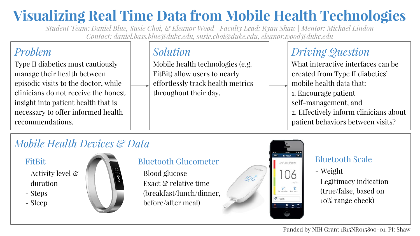## **Visualizing Real Time Data from Mobile Health Technologies**

*Student Team: Daniel Blue, Susie Choi, & Eleanor Wood | Faculty Lead: Ryan Shaw | Mentor: Michael Lindon Contact: daniel.bass.blue@duke.edu, susie.choi@duke.edu, eleanor.wood@duke.edu*

## *Problem*

Type II diabetics must cautiously manage their health between episodic visits to the doctor, while clinicians do not receive the honest insight into patient health that is necessary to offer informed health recommendations.

## *Solution*

Mobile health technologies (e.g. FitBit) allow users to nearly effortlessly track health metrics throughout their day.

## *Driving Question*

What interactive interfaces can be created from Type II diabetics' mobile health data that: 1. Encourage patient self-management, and 2. Effectively inform clinicians about patient behaviors between visits?

## *Mobile Health Devices & Data*

#### FitBit

- Activity level & duration
- Steps
- Sleep



#### Bluetooth Glucometer

- Blood glucose
- Exact & relative time (breakfast/lunch/dinner, before/after meal)



#### Bluetooth Scale

- Weight
- Legitimacy indication (true/false, based on 10% range check)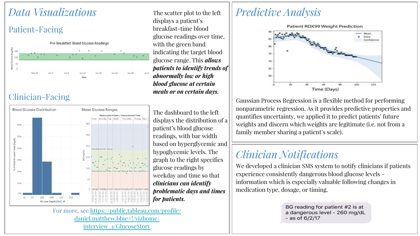## *Data Visualizations*

#### Patient-Facing



#### Clinician-Facing



The dashboard to the left displays the distribution of a patient's blood glucose readings, with bar width based on hyperglycemic and hypoglycemic levels. The graph to the right specifies glucose readings by weekday and time so that *clinicians can identify problematic days and times for patients.* 

The scatter plot to the left

*meals or on certain days.* 

displays a patient's breakfast-time blood

#### For more, see [https://public.tableau.com/profile/](https://public.tableau.com/profile/daniel.matthew.blue#!/vizhome/interview_1/GlucoseStory) [daniel.matthew.blue#!/vizhome/](https://public.tableau.com/profile/daniel.matthew.blue#!/vizhome/interview_1/GlucoseStory) [interview\\_1/GlucoseStory](https://public.tableau.com/profile/daniel.matthew.blue#!/vizhome/interview_1/GlucoseStory)

### *Predictive Analysis*



Gaussian Process Regression is a flexible method for performing nonparametric regression. As it provides predictive properties and quantifies uncertainty, we applied it to predict patients' future weights and discern which weights are legitimate (i.e. not from a family member sharing a patient's scale).

## *Clinician Notifications*

We developed a clinician SMS system to notify clinicians if patients experience consistently dangerous blood glucose levels information which is especially valuable following changes in medication type, dosage, or timing.

> BG reading for patient #2 is at a dangerous level - 260 mg/dL  $-$  as of 6/2/17